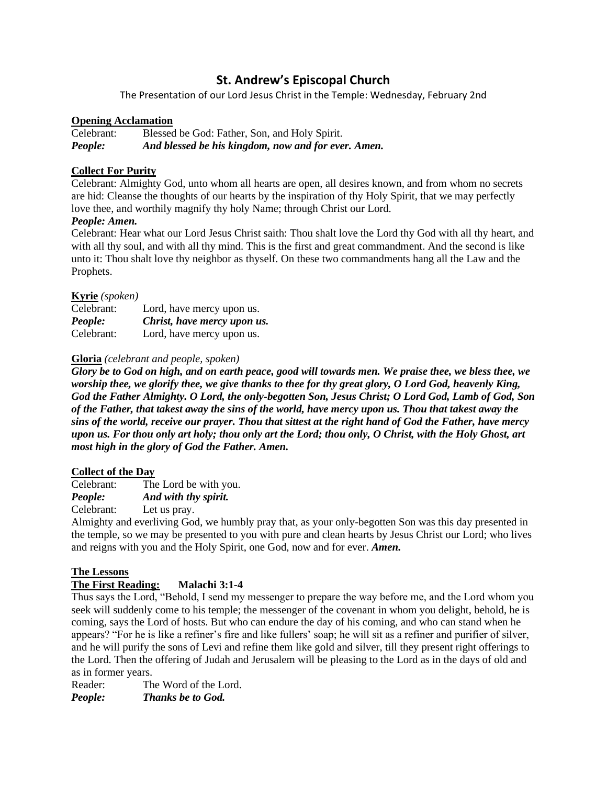# **St. Andrew's Episcopal Church**

The Presentation of our Lord Jesus Christ in the Temple: Wednesday, February 2nd

# **Opening Acclamation**

Celebrant: Blessed be God: Father, Son, and Holy Spirit. *People: And blessed be his kingdom, now and for ever. Amen.*

# **Collect For Purity**

Celebrant: Almighty God, unto whom all hearts are open, all desires known, and from whom no secrets are hid: Cleanse the thoughts of our hearts by the inspiration of thy Holy Spirit, that we may perfectly love thee, and worthily magnify thy holy Name; through Christ our Lord.

# *People: Amen.*

Celebrant: Hear what our Lord Jesus Christ saith: Thou shalt love the Lord thy God with all thy heart, and with all thy soul, and with all thy mind. This is the first and great commandment. And the second is like unto it: Thou shalt love thy neighbor as thyself. On these two commandments hang all the Law and the Prophets.

## **Kyrie** *(spoken)*

| Celebrant: | Lord, have mercy upon us.   |
|------------|-----------------------------|
| People:    | Christ, have mercy upon us. |
| Celebrant: | Lord, have mercy upon us.   |

# **Gloria** *(celebrant and people, spoken)*

*Glory be to God on high, and on earth peace, good will towards men. We praise thee, we bless thee, we worship thee, we glorify thee, we give thanks to thee for thy great glory, O Lord God, heavenly King, God the Father Almighty. O Lord, the only-begotten Son, Jesus Christ; O Lord God, Lamb of God, Son of the Father, that takest away the sins of the world, have mercy upon us. Thou that takest away the sins of the world, receive our prayer. Thou that sittest at the right hand of God the Father, have mercy upon us. For thou only art holy; thou only art the Lord; thou only, O Christ, with the Holy Ghost, art most high in the glory of God the Father. Amen.*

## **Collect of the Day**

Celebrant: The Lord be with you. *People: And with thy spirit.*

Celebrant: Let us pray.

Almighty and everliving God, we humbly pray that, as your only-begotten Son was this day presented in the temple, so we may be presented to you with pure and clean hearts by Jesus Christ our Lord; who lives and reigns with you and the Holy Spirit, one God, now and for ever. *Amen.*

# **The Lessons**

# **The First Reading: Malachi 3:1-4**

Thus says the Lord, "Behold, I send my messenger to prepare the way before me, and the Lord whom you seek will suddenly come to his temple; the messenger of the covenant in whom you delight, behold, he is coming, says the Lord of hosts. But who can endure the day of his coming, and who can stand when he appears? "For he is like a refiner's fire and like fullers' soap; he will sit as a refiner and purifier of silver, and he will purify the sons of Levi and refine them like gold and silver, till they present right offerings to the Lord. Then the offering of Judah and Jerusalem will be pleasing to the Lord as in the days of old and as in former years.

Reader: The Word of the Lord. *People: Thanks be to God.*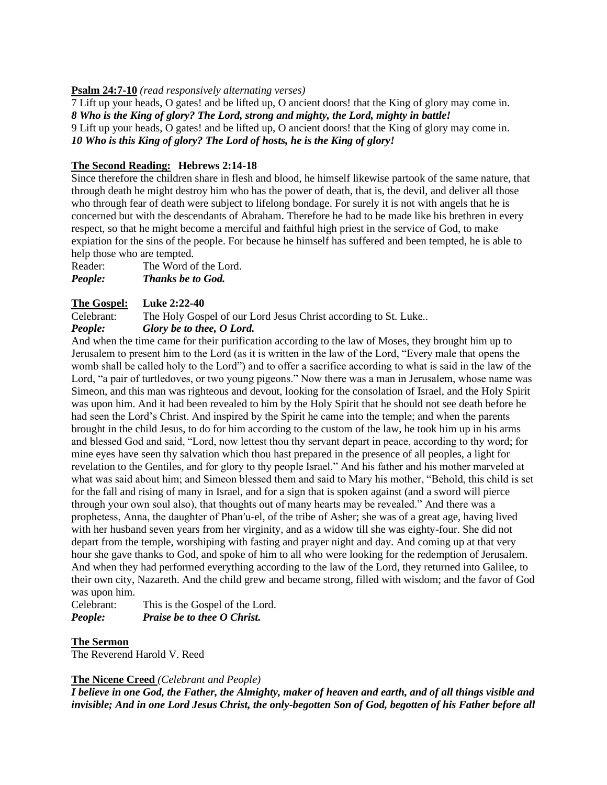# **Psalm 24:7-10** *(read responsively alternating verses)*

7 Lift up your heads, O gates! and be lifted up, O ancient doors! that the King of glory may come in. *8 Who is the King of glory? The Lord, strong and mighty, the Lord, mighty in battle!* 9 Lift up your heads, O gates! and be lifted up, O ancient doors! that the King of glory may come in. *10 Who is this King of glory? The Lord of hosts, he is the King of glory!*

# **The Second Reading: Hebrews 2:14-18**

Since therefore the children share in flesh and blood, he himself likewise partook of the same nature, that through death he might destroy him who has the power of death, that is, the devil, and deliver all those who through fear of death were subject to lifelong bondage. For surely it is not with angels that he is concerned but with the descendants of Abraham. Therefore he had to be made like his brethren in every respect, so that he might become a merciful and faithful high priest in the service of God, to make expiation for the sins of the people. For because he himself has suffered and been tempted, he is able to help those who are tempted.

Reader: The Word of the Lord. *People: Thanks be to God.*

# **The Gospel: Luke 2:22-40**

Celebrant: The Holy Gospel of our Lord Jesus Christ according to St. Luke.. *People: Glory be to thee, O Lord.*

And when the time came for their purification according to the law of Moses, they brought him up to Jerusalem to present him to the Lord (as it is written in the law of the Lord, "Every male that opens the womb shall be called holy to the Lord") and to offer a sacrifice according to what is said in the law of the Lord, "a pair of turtledoves, or two young pigeons." Now there was a man in Jerusalem, whose name was Simeon, and this man was righteous and devout, looking for the consolation of Israel, and the Holy Spirit was upon him. And it had been revealed to him by the Holy Spirit that he should not see death before he had seen the Lord's Christ. And inspired by the Spirit he came into the temple; and when the parents brought in the child Jesus, to do for him according to the custom of the law, he took him up in his arms and blessed God and said, "Lord, now lettest thou thy servant depart in peace, according to thy word; for mine eyes have seen thy salvation which thou hast prepared in the presence of all peoples, a light for revelation to the Gentiles, and for glory to thy people Israel." And his father and his mother marveled at what was said about him; and Simeon blessed them and said to Mary his mother, "Behold, this child is set for the fall and rising of many in Israel, and for a sign that is spoken against (and a sword will pierce through your own soul also), that thoughts out of many hearts may be revealed." And there was a prophetess, Anna, the daughter of Phan′u-el, of the tribe of Asher; she was of a great age, having lived with her husband seven years from her virginity, and as a widow till she was eighty-four. She did not depart from the temple, worshiping with fasting and prayer night and day. And coming up at that very hour she gave thanks to God, and spoke of him to all who were looking for the redemption of Jerusalem. And when they had performed everything according to the law of the Lord, they returned into Galilee, to their own city, Nazareth. And the child grew and became strong, filled with wisdom; and the favor of God was upon him.

Celebrant: This is the Gospel of the Lord. *People: Praise be to thee O Christ.*

## **The Sermon**

The Reverend Harold V. Reed

## **The Nicene Creed** *(Celebrant and People)*

*I believe in one God, the Father, the Almighty, maker of heaven and earth, and of all things visible and invisible; And in one Lord Jesus Christ, the only-begotten Son of God, begotten of his Father before all*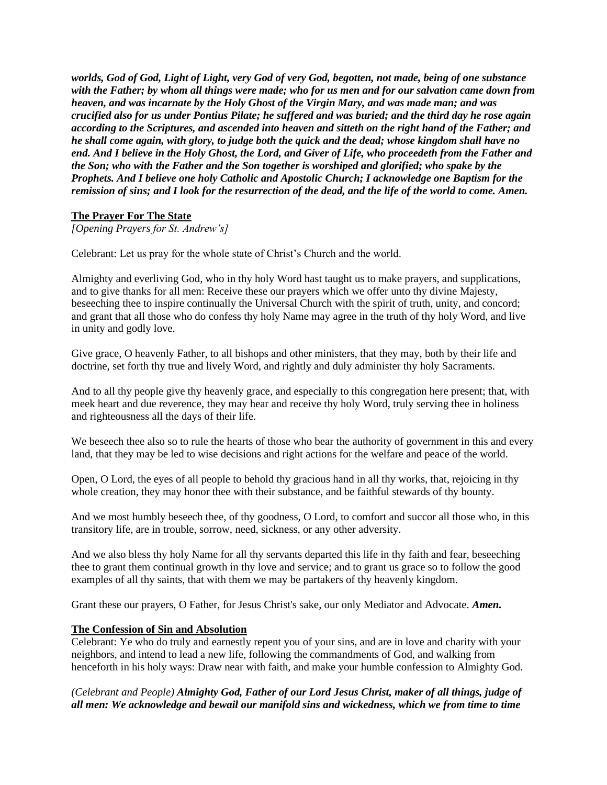*worlds, God of God, Light of Light, very God of very God, begotten, not made, being of one substance with the Father; by whom all things were made; who for us men and for our salvation came down from heaven, and was incarnate by the Holy Ghost of the Virgin Mary, and was made man; and was crucified also for us under Pontius Pilate; he suffered and was buried; and the third day he rose again according to the Scriptures, and ascended into heaven and sitteth on the right hand of the Father; and he shall come again, with glory, to judge both the quick and the dead; whose kingdom shall have no end. And I believe in the Holy Ghost, the Lord, and Giver of Life, who proceedeth from the Father and the Son; who with the Father and the Son together is worshiped and glorified; who spake by the Prophets. And I believe one holy Catholic and Apostolic Church; I acknowledge one Baptism for the remission of sins; and I look for the resurrection of the dead, and the life of the world to come. Amen.*

# **The Prayer For The State**

*[Opening Prayers for St. Andrew's]*

Celebrant: Let us pray for the whole state of Christ's Church and the world.

Almighty and everliving God, who in thy holy Word hast taught us to make prayers, and supplications, and to give thanks for all men: Receive these our prayers which we offer unto thy divine Majesty, beseeching thee to inspire continually the Universal Church with the spirit of truth, unity, and concord; and grant that all those who do confess thy holy Name may agree in the truth of thy holy Word, and live in unity and godly love.

Give grace, O heavenly Father, to all bishops and other ministers, that they may, both by their life and doctrine, set forth thy true and lively Word, and rightly and duly administer thy holy Sacraments.

And to all thy people give thy heavenly grace, and especially to this congregation here present; that, with meek heart and due reverence, they may hear and receive thy holy Word, truly serving thee in holiness and righteousness all the days of their life.

We beseech thee also so to rule the hearts of those who bear the authority of government in this and every land, that they may be led to wise decisions and right actions for the welfare and peace of the world.

Open, O Lord, the eyes of all people to behold thy gracious hand in all thy works, that, rejoicing in thy whole creation, they may honor thee with their substance, and be faithful stewards of thy bounty.

And we most humbly beseech thee, of thy goodness, O Lord, to comfort and succor all those who, in this transitory life, are in trouble, sorrow, need, sickness, or any other adversity.

And we also bless thy holy Name for all thy servants departed this life in thy faith and fear, beseeching thee to grant them continual growth in thy love and service; and to grant us grace so to follow the good examples of all thy saints, that with them we may be partakers of thy heavenly kingdom.

Grant these our prayers, O Father, for Jesus Christ's sake, our only Mediator and Advocate. *Amen.*

## **The Confession of Sin and Absolution**

Celebrant: Ye who do truly and earnestly repent you of your sins, and are in love and charity with your neighbors, and intend to lead a new life, following the commandments of God, and walking from henceforth in his holy ways: Draw near with faith, and make your humble confession to Almighty God.

# *(Celebrant and People) Almighty God, Father of our Lord Jesus Christ, maker of all things, judge of all men: We acknowledge and bewail our manifold sins and wickedness, which we from time to time*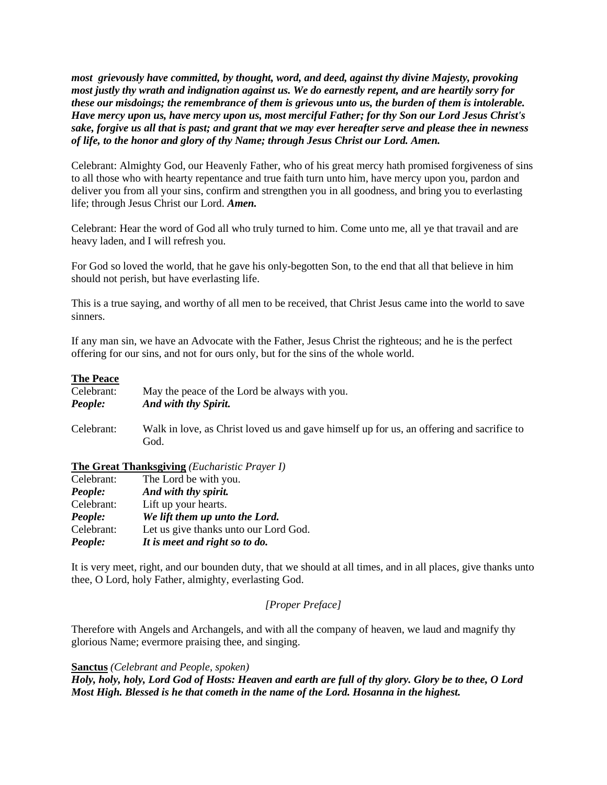*most grievously have committed, by thought, word, and deed, against thy divine Majesty, provoking most justly thy wrath and indignation against us. We do earnestly repent, and are heartily sorry for these our misdoings; the remembrance of them is grievous unto us, the burden of them is intolerable. Have mercy upon us, have mercy upon us, most merciful Father; for thy Son our Lord Jesus Christ's sake, forgive us all that is past; and grant that we may ever hereafter serve and please thee in newness of life, to the honor and glory of thy Name; through Jesus Christ our Lord. Amen.*

Celebrant: Almighty God, our Heavenly Father, who of his great mercy hath promised forgiveness of sins to all those who with hearty repentance and true faith turn unto him, have mercy upon you, pardon and deliver you from all your sins, confirm and strengthen you in all goodness, and bring you to everlasting life; through Jesus Christ our Lord. *Amen.*

Celebrant: Hear the word of God all who truly turned to him. Come unto me, all ye that travail and are heavy laden, and I will refresh you.

For God so loved the world, that he gave his only-begotten Son, to the end that all that believe in him should not perish, but have everlasting life.

This is a true saying, and worthy of all men to be received, that Christ Jesus came into the world to save sinners.

If any man sin, we have an Advocate with the Father, Jesus Christ the righteous; and he is the perfect offering for our sins, and not for ours only, but for the sins of the whole world.

### **The Peace**

| Celebrant: | May the peace of the Lord be always with you.                                                     |
|------------|---------------------------------------------------------------------------------------------------|
| People:    | And with thy Spirit.                                                                              |
| Celebrant: | Walk in love, as Christ loved us and gave himself up for us, an offering and sacrifice to<br>God. |

#### **The Great Thanksgiving** *(Eucharistic Prayer I)*

| People:    | It is meet and right so to do.        |
|------------|---------------------------------------|
| Celebrant: | Let us give thanks unto our Lord God. |
| People:    | We lift them up unto the Lord.        |
| Celebrant: | Lift up your hearts.                  |
| People:    | And with thy spirit.                  |
| Celebrant: | The Lord be with you.                 |

It is very meet, right, and our bounden duty, that we should at all times, and in all places, give thanks unto thee, O Lord, holy Father, almighty, everlasting God.

# *[Proper Preface]*

Therefore with Angels and Archangels, and with all the company of heaven, we laud and magnify thy glorious Name; evermore praising thee, and singing.

# **Sanctus** *(Celebrant and People, spoken)*

*Holy, holy, holy, Lord God of Hosts: Heaven and earth are full of thy glory. Glory be to thee, O Lord Most High. Blessed is he that cometh in the name of the Lord. Hosanna in the highest.*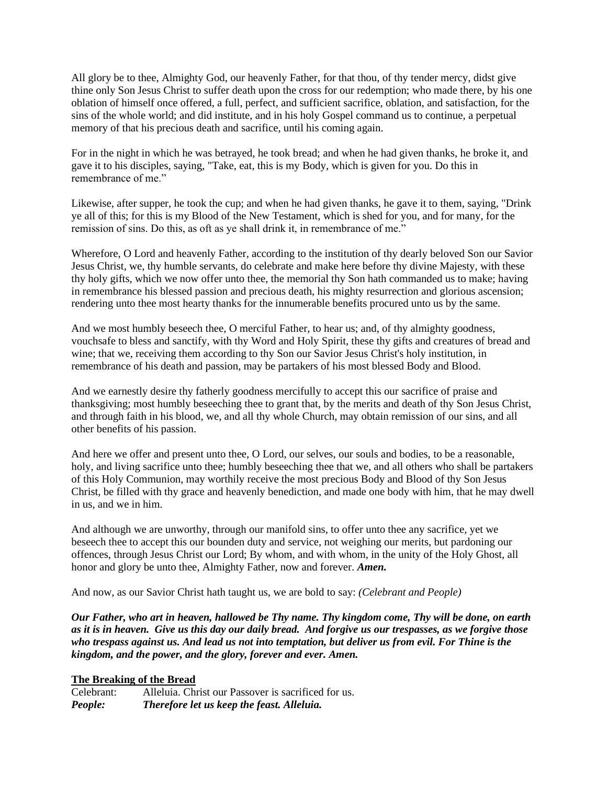All glory be to thee, Almighty God, our heavenly Father, for that thou, of thy tender mercy, didst give thine only Son Jesus Christ to suffer death upon the cross for our redemption; who made there, by his one oblation of himself once offered, a full, perfect, and sufficient sacrifice, oblation, and satisfaction, for the sins of the whole world; and did institute, and in his holy Gospel command us to continue, a perpetual memory of that his precious death and sacrifice, until his coming again.

For in the night in which he was betrayed, he took bread; and when he had given thanks, he broke it, and gave it to his disciples, saying, "Take, eat, this is my Body, which is given for you. Do this in remembrance of me."

Likewise, after supper, he took the cup; and when he had given thanks, he gave it to them, saying, "Drink ye all of this; for this is my Blood of the New Testament, which is shed for you, and for many, for the remission of sins. Do this, as oft as ye shall drink it, in remembrance of me."

Wherefore, O Lord and heavenly Father, according to the institution of thy dearly beloved Son our Savior Jesus Christ, we, thy humble servants, do celebrate and make here before thy divine Majesty, with these thy holy gifts, which we now offer unto thee, the memorial thy Son hath commanded us to make; having in remembrance his blessed passion and precious death, his mighty resurrection and glorious ascension; rendering unto thee most hearty thanks for the innumerable benefits procured unto us by the same.

And we most humbly beseech thee, O merciful Father, to hear us; and, of thy almighty goodness, vouchsafe to bless and sanctify, with thy Word and Holy Spirit, these thy gifts and creatures of bread and wine; that we, receiving them according to thy Son our Savior Jesus Christ's holy institution, in remembrance of his death and passion, may be partakers of his most blessed Body and Blood.

And we earnestly desire thy fatherly goodness mercifully to accept this our sacrifice of praise and thanksgiving; most humbly beseeching thee to grant that, by the merits and death of thy Son Jesus Christ, and through faith in his blood, we, and all thy whole Church, may obtain remission of our sins, and all other benefits of his passion.

And here we offer and present unto thee, O Lord, our selves, our souls and bodies, to be a reasonable, holy, and living sacrifice unto thee; humbly beseeching thee that we, and all others who shall be partakers of this Holy Communion, may worthily receive the most precious Body and Blood of thy Son Jesus Christ, be filled with thy grace and heavenly benediction, and made one body with him, that he may dwell in us, and we in him.

And although we are unworthy, through our manifold sins, to offer unto thee any sacrifice, yet we beseech thee to accept this our bounden duty and service, not weighing our merits, but pardoning our offences, through Jesus Christ our Lord; By whom, and with whom, in the unity of the Holy Ghost, all honor and glory be unto thee, Almighty Father, now and forever. *Amen.*

And now, as our Savior Christ hath taught us, we are bold to say: *(Celebrant and People)*

*Our Father, who art in heaven, hallowed be Thy name. Thy kingdom come, Thy will be done, on earth as it is in heaven. Give us this day our daily bread. And forgive us our trespasses, as we forgive those who trespass against us. And lead us not into temptation, but deliver us from evil. For Thine is the kingdom, and the power, and the glory, forever and ever. Amen.*

## **The Breaking of the Bread**

Celebrant: Alleluia. Christ our Passover is sacrificed for us. *People: Therefore let us keep the feast. Alleluia.*